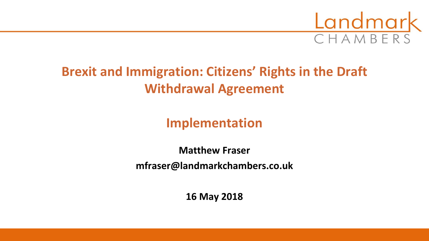

# **Brexit and Immigration: Citizens' Rights in the Draft Withdrawal Agreement**

**Implementation**

**Matthew Fraser mfraser@landmarkchambers.co.uk**

**16 May 2018**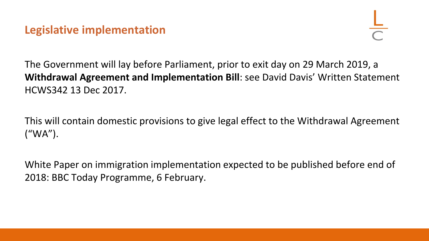## **Legislative implementation**

The Government will lay before Parliament, prior to exit day on 29 March 2019, a **Withdrawal Agreement and Implementation Bill**: see David Davis' Written Statement HCWS342 13 Dec 2017.

This will contain domestic provisions to give legal effect to the Withdrawal Agreement ("WA").

White Paper on immigration implementation expected to be published before end of 2018: BBC Today Programme, 6 February.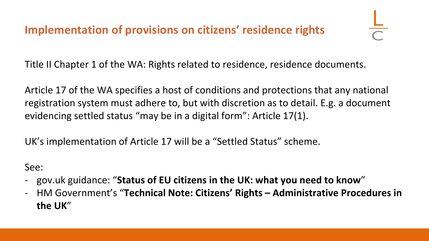# **Implementation of provisions on citizens' residence rights**

Title II Chapter 1 of the WA: Rights related to residence, residence documents.

Article 17 of the WA specifies a host of conditions and protections that any national registration system must adhere to, but with discretion as to detail. E.g. a document evidencing settled status "may be in a digital form": Article 17(1).

UK's implementation of Article 17 will be a "Settled Status" scheme.

See:

- gov.uk guidance: "**Status of EU citizens in the UK: what you need to know**"
- HM Government's "**Technical Note: Citizens' Rights – Administrative Procedures in the UK**"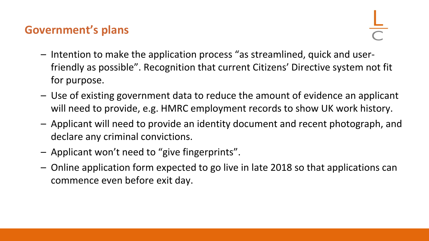## **Government's plans**

- Intention to make the application process "as streamlined, quick and userfriendly as possible". Recognition that current Citizens' Directive system not fit for purpose.
- Use of existing government data to reduce the amount of evidence an applicant will need to provide, e.g. HMRC employment records to show UK work history.
- Applicant will need to provide an identity document and recent photograph, and declare any criminal convictions.
- Applicant won't need to "give fingerprints".
- Online application form expected to go live in late 2018 so that applications can commence even before exit day.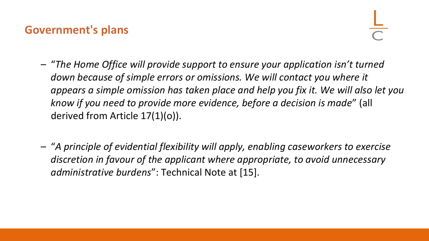#### **Government's plans**

- "*The Home Office will provide support to ensure your application isn't turned down because of simple errors or omissions. We will contact you where it appears a simple omission has taken place and help you fix it. We will also let you know if you need to provide more evidence, before a decision is made*" (all derived from Article 17(1)(o)).
- "*A principle of evidential flexibility will apply, enabling caseworkers to exercise discretion in favour of the applicant where appropriate, to avoid unnecessary administrative burdens*": Technical Note at [15].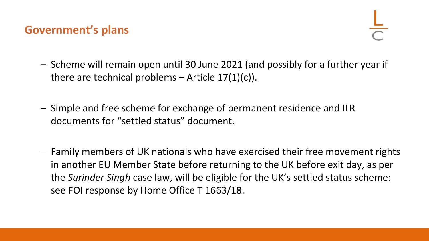#### **Government's plans**

- Scheme will remain open until 30 June 2021 (and possibly for a further year if there are technical problems  $-$  Article 17(1)(c)).
- Simple and free scheme for exchange of permanent residence and ILR documents for "settled status" document.
- Family members of UK nationals who have exercised their free movement rights in another EU Member State before returning to the UK before exit day, as per the *Surinder Singh* case law, will be eligible for the UK's settled status scheme: see FOI response by Home Office T 1663/18.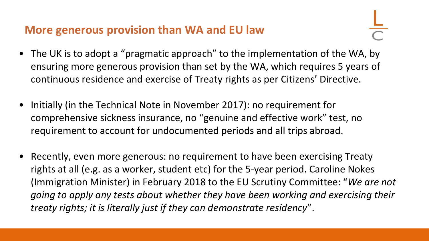## **More generous provision than WA and EU law**

- The UK is to adopt a "pragmatic approach" to the implementation of the WA, by ensuring more generous provision than set by the WA, which requires 5 years of continuous residence and exercise of Treaty rights as per Citizens' Directive.
- Initially (in the Technical Note in November 2017): no requirement for comprehensive sickness insurance, no "genuine and effective work" test, no requirement to account for undocumented periods and all trips abroad.
- Recently, even more generous: no requirement to have been exercising Treaty rights at all (e.g. as a worker, student etc) for the 5-year period. Caroline Nokes (Immigration Minister) in February 2018 to the EU Scrutiny Committee: "*We are not going to apply any tests about whether they have been working and exercising their treaty rights; it is literally just if they can demonstrate residency*".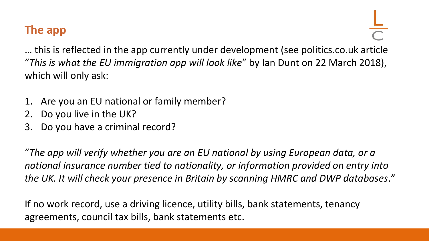# **The app**

… this is reflected in the app currently under development (see politics.co.uk article "*This is what the EU immigration app will look like*" by Ian Dunt on 22 March 2018), which will only ask:

- 1. Are you an EU national or family member?
- 2. Do you live in the UK?
- 3. Do you have a criminal record?

"*The app will verify whether you are an EU national by using European data, or a national insurance number tied to nationality, or information provided on entry into the UK. It will check your presence in Britain by scanning HMRC and DWP databases*."

If no work record, use a driving licence, utility bills, bank statements, tenancy agreements, council tax bills, bank statements etc.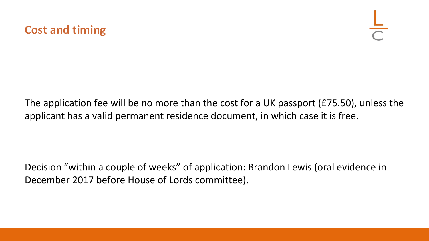

The application fee will be no more than the cost for a UK passport (£75.50), unless the applicant has a valid permanent residence document, in which case it is free.

Decision "within a couple of weeks" of application: Brandon Lewis (oral evidence in December 2017 before House of Lords committee).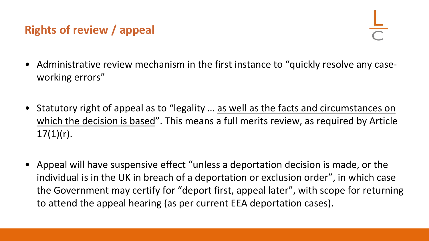# **Rights of review / appeal**

- Administrative review mechanism in the first instance to "quickly resolve any caseworking errors"
- Statutory right of appeal as to "legality … as well as the facts and circumstances on which the decision is based". This means a full merits review, as required by Article  $17(1)(r)$ .
- Appeal will have suspensive effect "unless a deportation decision is made, or the individual is in the UK in breach of a deportation or exclusion order", in which case the Government may certify for "deport first, appeal later", with scope for returning to attend the appeal hearing (as per current EEA deportation cases).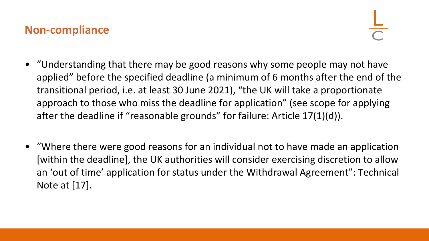#### **Non-compliance**

- "Understanding that there may be good reasons why some people may not have applied" before the specified deadline (a minimum of 6 months after the end of the transitional period, i.e. at least 30 June 2021), "the UK will take a proportionate approach to those who miss the deadline for application" (see scope for applying after the deadline if "reasonable grounds" for failure: Article 17(1)(d)).
- "Where there were good reasons for an individual not to have made an application [within the deadline], the UK authorities will consider exercising discretion to allow an 'out of time' application for status under the Withdrawal Agreement": Technical Note at [17].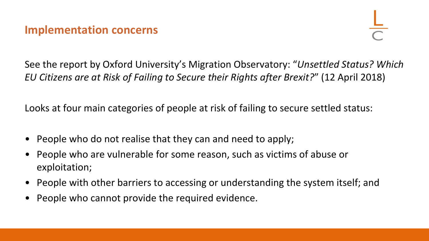#### **Implementation concerns**

See the report by Oxford University's Migration Observatory: "*Unsettled Status? Which EU Citizens are at Risk of Failing to Secure their Rights after Brexit?*" (12 April 2018)

Looks at four main categories of people at risk of failing to secure settled status:

- People who do not realise that they can and need to apply;
- People who are vulnerable for some reason, such as victims of abuse or exploitation;
- People with other barriers to accessing or understanding the system itself; and
- People who cannot provide the required evidence.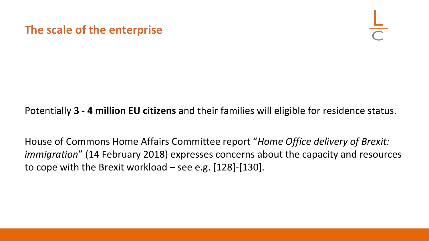**The scale of the enterprise**

Potentially **3 - 4 million EU citizens** and their families will eligible for residence status.

House of Commons Home Affairs Committee report "*Home Office delivery of Brexit: immigration*" (14 February 2018) expresses concerns about the capacity and resources to cope with the Brexit workload – see e.g. [128]-[130].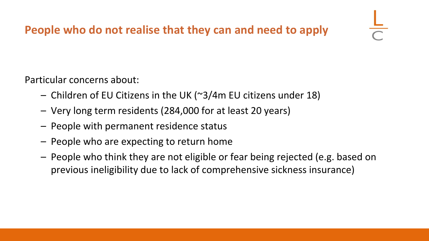Particular concerns about:

- Children of EU Citizens in the UK (~3/4m EU citizens under 18)
- Very long term residents (284,000 for at least 20 years)
- People with permanent residence status
- People who are expecting to return home
- People who think they are not eligible or fear being rejected (e.g. based on previous ineligibility due to lack of comprehensive sickness insurance)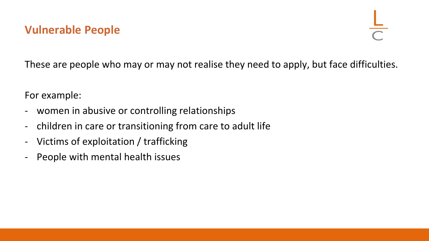These are people who may or may not realise they need to apply, but face difficulties.

For example:

- women in abusive or controlling relationships
- children in care or transitioning from care to adult life
- Victims of exploitation / trafficking
- People with mental health issues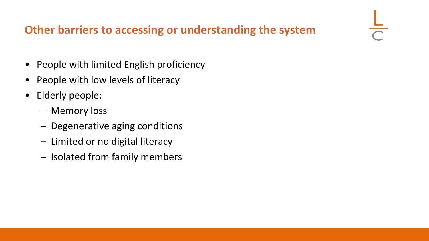# **Other barriers to accessing or understanding the system**

- People with limited English proficiency
- People with low levels of literacy
- Elderly people:
	- Memory loss
	- Degenerative aging conditions
	- Limited or no digital literacy
	- Isolated from family members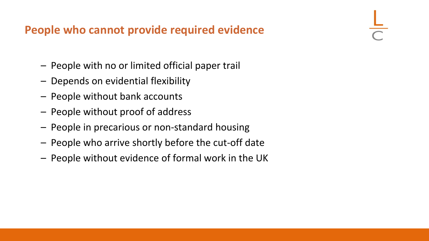## **People who cannot provide required evidence**

- People with no or limited official paper trail
- Depends on evidential flexibility
- People without bank accounts
- People without proof of address
- People in precarious or non-standard housing
- People who arrive shortly before the cut-off date
- People without evidence of formal work in the UK